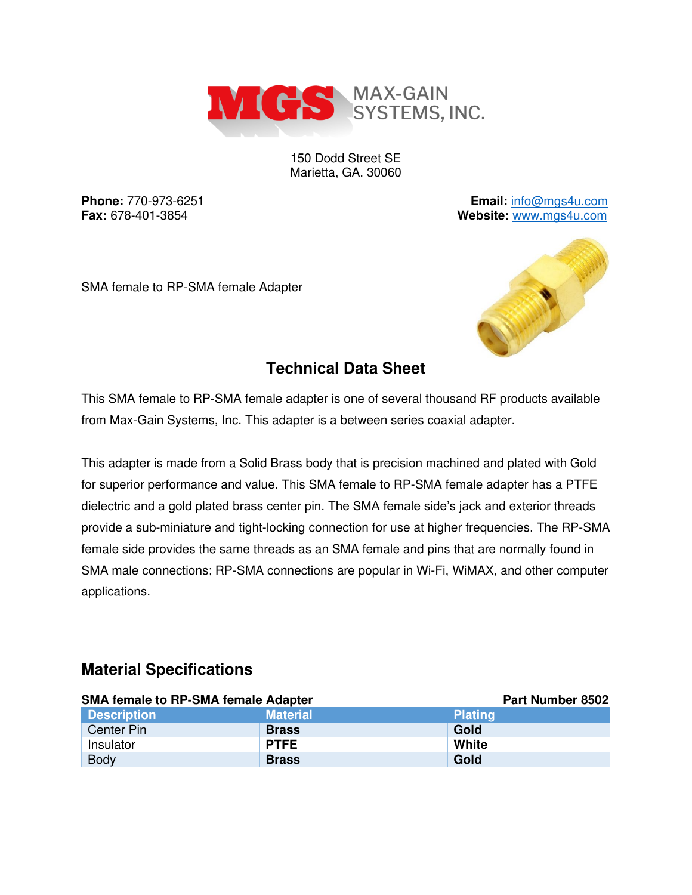

150 Dodd Street SE Marietta, GA. 30060

**Phone:** 770-973-6251 **Email:** [info@mgs4u.com](mailto:info@mgs4u.com) **Fax:** 678-401-3854 **Website:** [www.mgs4u.com](http://www.mgs4u.com/)

SMA female to RP-SMA female Adapter



## **Technical Data Sheet**

This SMA female to RP-SMA female adapter is one of several thousand RF products available from Max-Gain Systems, Inc. This adapter is a between series coaxial adapter.

This adapter is made from a Solid Brass body that is precision machined and plated with Gold for superior performance and value. This SMA female to RP-SMA female adapter has a PTFE dielectric and a gold plated brass center pin. The SMA female side's jack and exterior threads provide a sub-miniature and tight-locking connection for use at higher frequencies. The RP-SMA female side provides the same threads as an SMA female and pins that are normally found in SMA male connections; RP-SMA connections are popular in Wi-Fi, WiMAX, and other computer applications.

#### **Material Specifications**

| <b>SMA female to RP-SMA female Adapter</b> |                 | Part Number 8502 |
|--------------------------------------------|-----------------|------------------|
| <b>Description</b>                         | <b>Material</b> | <b>Plating</b>   |
| Center Pin                                 | <b>Brass</b>    | Gold             |
| Insulator                                  | <b>PTFE</b>     | White            |
| <b>Body</b>                                | <b>Brass</b>    | Gold             |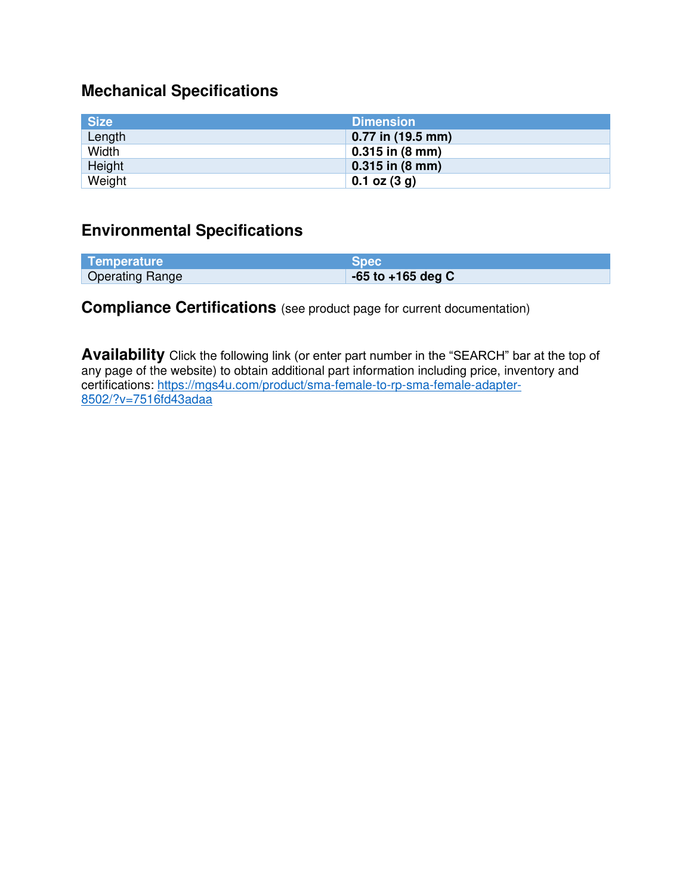# **Mechanical Specifications**

| <b>Size</b> | <b>Dimension</b>            |
|-------------|-----------------------------|
| Length      | 0.77 in (19.5 mm)           |
| Width       | $0.315$ in $(8 \text{ mm})$ |
| Height      | $0.315$ in (8 mm)           |
| Weight      | $0.1$ oz $(3 g)$            |

### **Environmental Specifications**

| Temperature            | Spec                  |
|------------------------|-----------------------|
| <b>Operating Range</b> | $-65$ to $+165$ deg C |

### **Compliance Certifications** (see product page for current documentation)

**Availability** Click the following link (or enter part number in the "SEARCH" bar at the top of any page of the website) to obtain additional part information including price, inventory and certifications: [https://mgs4u.com/product/sma-female-to-rp-sma-female-adapter-](https://mgs4u.com/product/sma-female-to-rp-sma-female-adapter-8502/?v=7516fd43adaa)[8502/?v=7516fd43adaa](https://mgs4u.com/product/sma-female-to-rp-sma-female-adapter-8502/?v=7516fd43adaa)